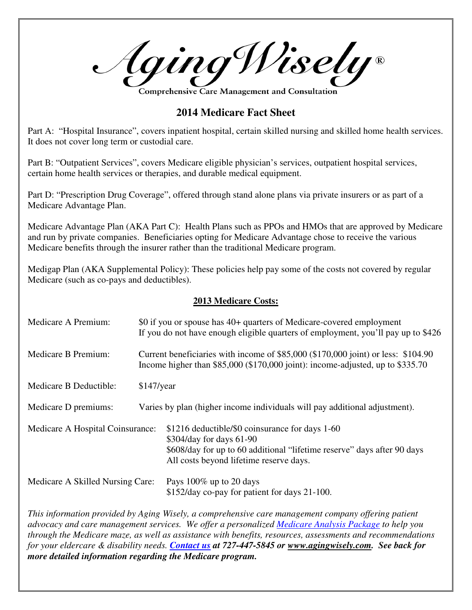Aging Wisely®

**Comprehensive Care Management and Consultation** 

## **2014 Medicare Fact Sheet**

Part A: "Hospital Insurance", covers inpatient hospital, certain skilled nursing and skilled home health services. It does not cover long term or custodial care.

Part B: "Outpatient Services", covers Medicare eligible physician's services, outpatient hospital services, certain home health services or therapies, and durable medical equipment.

Part D: "Prescription Drug Coverage", offered through stand alone plans via private insurers or as part of a Medicare Advantage Plan.

Medicare Advantage Plan (AKA Part C): Health Plans such as PPOs and HMOs that are approved by Medicare and run by private companies. Beneficiaries opting for Medicare Advantage chose to receive the various Medicare benefits through the insurer rather than the traditional Medicare program.

Medigap Plan (AKA Supplemental Policy): These policies help pay some of the costs not covered by regular Medicare (such as co-pays and deductibles).

## **2013 Medicare Costs:**

| Medicare A Premium:              | \$0 if you or spouse has 40+ quarters of Medicare-covered employment<br>If you do not have enough eligible quarters of employment, you'll pay up to \$426               |                                                                                                                                                                                                   |
|----------------------------------|-------------------------------------------------------------------------------------------------------------------------------------------------------------------------|---------------------------------------------------------------------------------------------------------------------------------------------------------------------------------------------------|
| Medicare B Premium:              | Current beneficiaries with income of \$85,000 (\$170,000 joint) or less: \$104.90<br>Income higher than $$85,000$ ( $$170,000$ joint): income-adjusted, up to $$335.70$ |                                                                                                                                                                                                   |
| Medicare B Deductible:           | $$147$ /year                                                                                                                                                            |                                                                                                                                                                                                   |
| Medicare D premiums:             |                                                                                                                                                                         | Varies by plan (higher income individuals will pay additional adjustment).                                                                                                                        |
| Medicare A Hospital Coinsurance: |                                                                                                                                                                         | \$1216 deductible/\$0 coinsurance for days 1-60<br>\$304/day for days 61-90<br>\$608/day for up to 60 additional "lifetime reserve" days after 90 days<br>All costs beyond lifetime reserve days. |
| Medicare A Skilled Nursing Care: |                                                                                                                                                                         | Pays $100\%$ up to 20 days<br>\$152/day co-pay for patient for days 21-100.                                                                                                                       |

*This information provided by Aging Wisely, a comprehensive care management company offering patient advocacy and care management services. We offer a personalized Medicare Analysis Package to help you through the Medicare maze, as well as assistance with benefits, resources, assessments and recommendations for your eldercare & disability needs. Contact us at 727-447-5845 or www.agingwisely.com. See back for more detailed information regarding the Medicare program.*